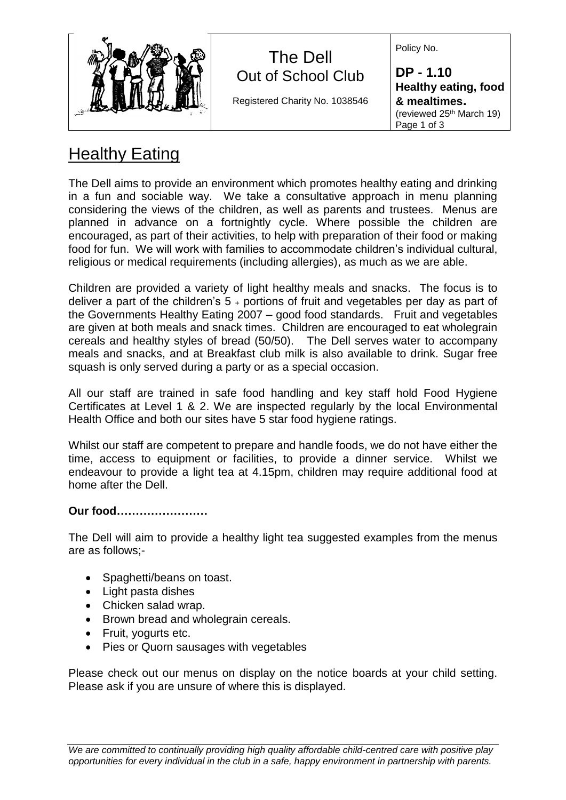

**DP - 1.10 Healthy eating, food & mealtimes.** (reviewed 25th March 19) Page 1 of 3

## **Healthy Eating**

The Dell aims to provide an environment which promotes healthy eating and drinking in a fun and sociable way. We take a consultative approach in menu planning considering the views of the children, as well as parents and trustees. Menus are planned in advance on a fortnightly cycle. Where possible the children are encouraged, as part of their activities, to help with preparation of their food or making food for fun. We will work with families to accommodate children's individual cultural, religious or medical requirements (including allergies), as much as we are able.

The Dell

Out of School Club

Registered Charity No. 1038546

Children are provided a variety of light healthy meals and snacks. The focus is to deliver a part of the children's  $5 +$  portions of fruit and vegetables per day as part of the Governments Healthy Eating 2007 – good food standards. Fruit and vegetables are given at both meals and snack times. Children are encouraged to eat wholegrain cereals and healthy styles of bread (50/50). The Dell serves water to accompany meals and snacks, and at Breakfast club milk is also available to drink. Sugar free squash is only served during a party or as a special occasion.

All our staff are trained in safe food handling and key staff hold Food Hygiene Certificates at Level 1 & 2. We are inspected regularly by the local Environmental Health Office and both our sites have 5 star food hygiene ratings.

Whilst our staff are competent to prepare and handle foods, we do not have either the time, access to equipment or facilities, to provide a dinner service. Whilst we endeavour to provide a light tea at 4.15pm, children may require additional food at home after the Dell.

## **Our food……………………**

The Dell will aim to provide a healthy light tea suggested examples from the menus are as follows;-

- Spaghetti/beans on toast.
- Light pasta dishes
- Chicken salad wrap.
- Brown bread and wholegrain cereals.
- Fruit, yogurts etc.
- Pies or Quorn sausages with vegetables

Please check out our menus on display on the notice boards at your child setting. Please ask if you are unsure of where this is displayed.

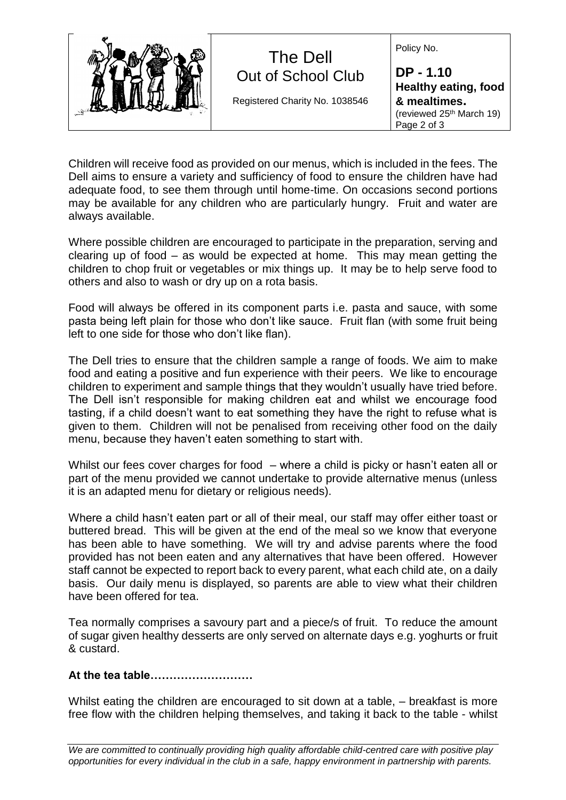

| The Dell                       |                                                                     |
|--------------------------------|---------------------------------------------------------------------|
| Out of School Club             | DP - 1.10                                                           |
|                                | Healthy eating, food                                                |
| Registered Charity No. 1038546 | & mealtimes.<br>(reviewed 25 <sup>th</sup> March 19)<br>Page 2 of 3 |
|                                |                                                                     |
|                                |                                                                     |

Children will receive food as provided on our menus, which is included in the fees. The Dell aims to ensure a variety and sufficiency of food to ensure the children have had adequate food, to see them through until home-time. On occasions second portions may be available for any children who are particularly hungry. Fruit and water are always available.

The Dell

Where possible children are encouraged to participate in the preparation, serving and clearing up of food – as would be expected at home. This may mean getting the children to chop fruit or vegetables or mix things up. It may be to help serve food to others and also to wash or dry up on a rota basis.

Food will always be offered in its component parts i.e. pasta and sauce, with some pasta being left plain for those who don't like sauce. Fruit flan (with some fruit being left to one side for those who don't like flan).

The Dell tries to ensure that the children sample a range of foods. We aim to make food and eating a positive and fun experience with their peers. We like to encourage children to experiment and sample things that they wouldn't usually have tried before. The Dell isn't responsible for making children eat and whilst we encourage food tasting, if a child doesn't want to eat something they have the right to refuse what is given to them. Children will not be penalised from receiving other food on the daily menu, because they haven't eaten something to start with.

Whilst our fees cover charges for food – where a child is picky or hasn't eaten all or part of the menu provided we cannot undertake to provide alternative menus (unless it is an adapted menu for dietary or religious needs).

Where a child hasn't eaten part or all of their meal, our staff may offer either toast or buttered bread. This will be given at the end of the meal so we know that everyone has been able to have something. We will try and advise parents where the food provided has not been eaten and any alternatives that have been offered. However staff cannot be expected to report back to every parent, what each child ate, on a daily basis. Our daily menu is displayed, so parents are able to view what their children have been offered for tea.

Tea normally comprises a savoury part and a piece/s of fruit. To reduce the amount of sugar given healthy desserts are only served on alternate days e.g. yoghurts or fruit & custard.

## **At the tea table………………………**

Whilst eating the children are encouraged to sit down at a table, – breakfast is more free flow with the children helping themselves, and taking it back to the table - whilst